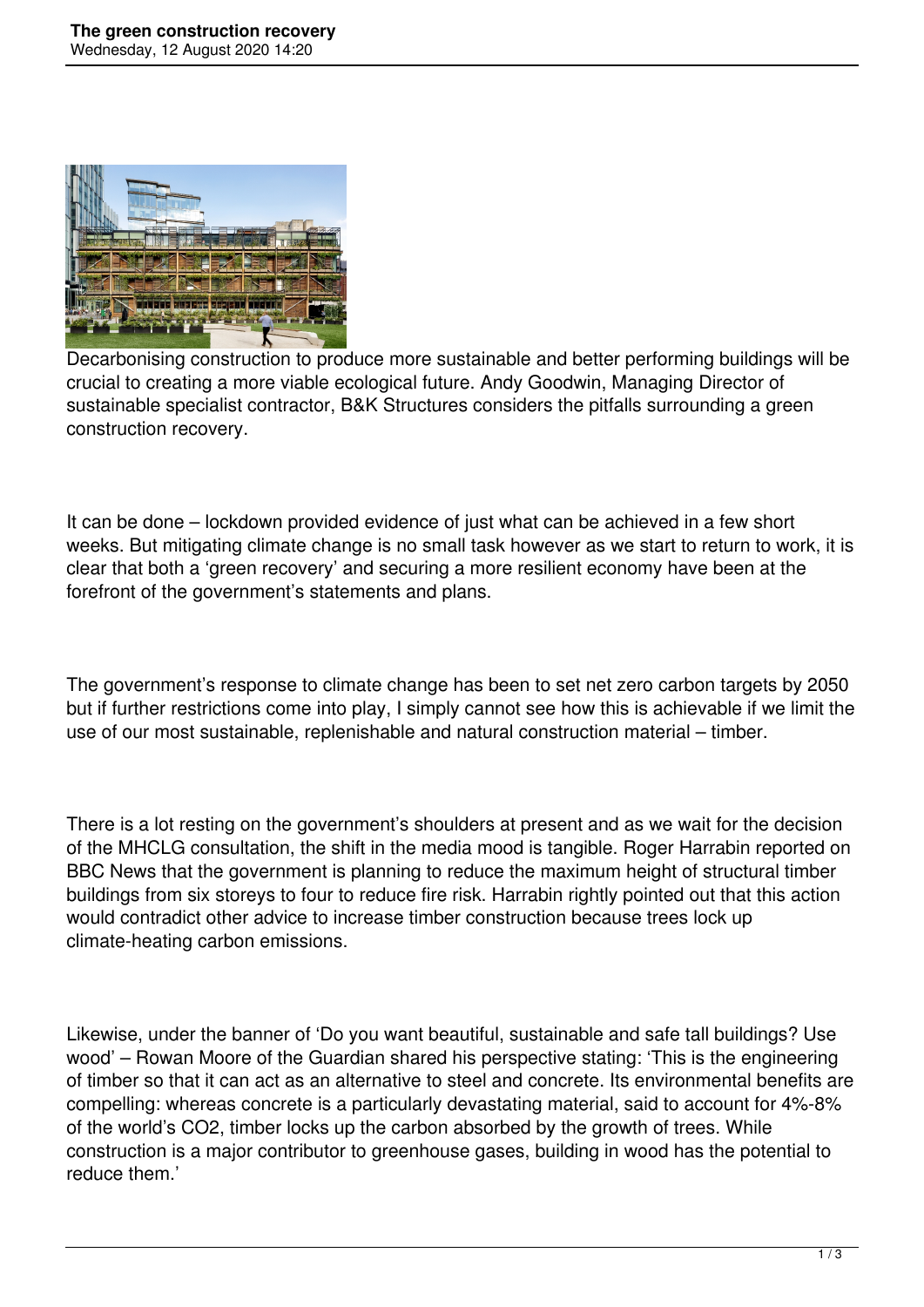

Decarbonising construction to produce more sustainable and better performing buildings will be crucial to creating a more viable ecological future. Andy Goodwin, Managing Director of sustainable specialist contractor, B&K Structures considers the pitfalls surrounding a green construction recovery.

It can be done – lockdown provided evidence of just what can be achieved in a few short weeks. But mitigating climate change is no small task however as we start to return to work, it is clear that both a 'green recovery' and securing a more resilient economy have been at the forefront of the government's statements and plans.

The government's response to climate change has been to set net zero carbon targets by 2050 but if further restrictions come into play, I simply cannot see how this is achievable if we limit the use of our most sustainable, replenishable and natural construction material – timber.

There is a lot resting on the government's shoulders at present and as we wait for the decision of the MHCLG consultation, the shift in the media mood is tangible. Roger Harrabin reported on BBC News that the government is planning to reduce the maximum height of structural timber buildings from six storeys to four to reduce fire risk. Harrabin rightly pointed out that this action would contradict other advice to increase timber construction because trees lock up climate-heating carbon emissions.

Likewise, under the banner of 'Do you want beautiful, sustainable and safe tall buildings? Use wood' – Rowan Moore of the Guardian shared his perspective stating: 'This is the engineering of timber so that it can act as an alternative to steel and concrete. Its environmental benefits are compelling: whereas concrete is a particularly devastating material, said to account for 4%-8% of the world's CO2, timber locks up the carbon absorbed by the growth of trees. While construction is a major contributor to greenhouse gases, building in wood has the potential to reduce them.'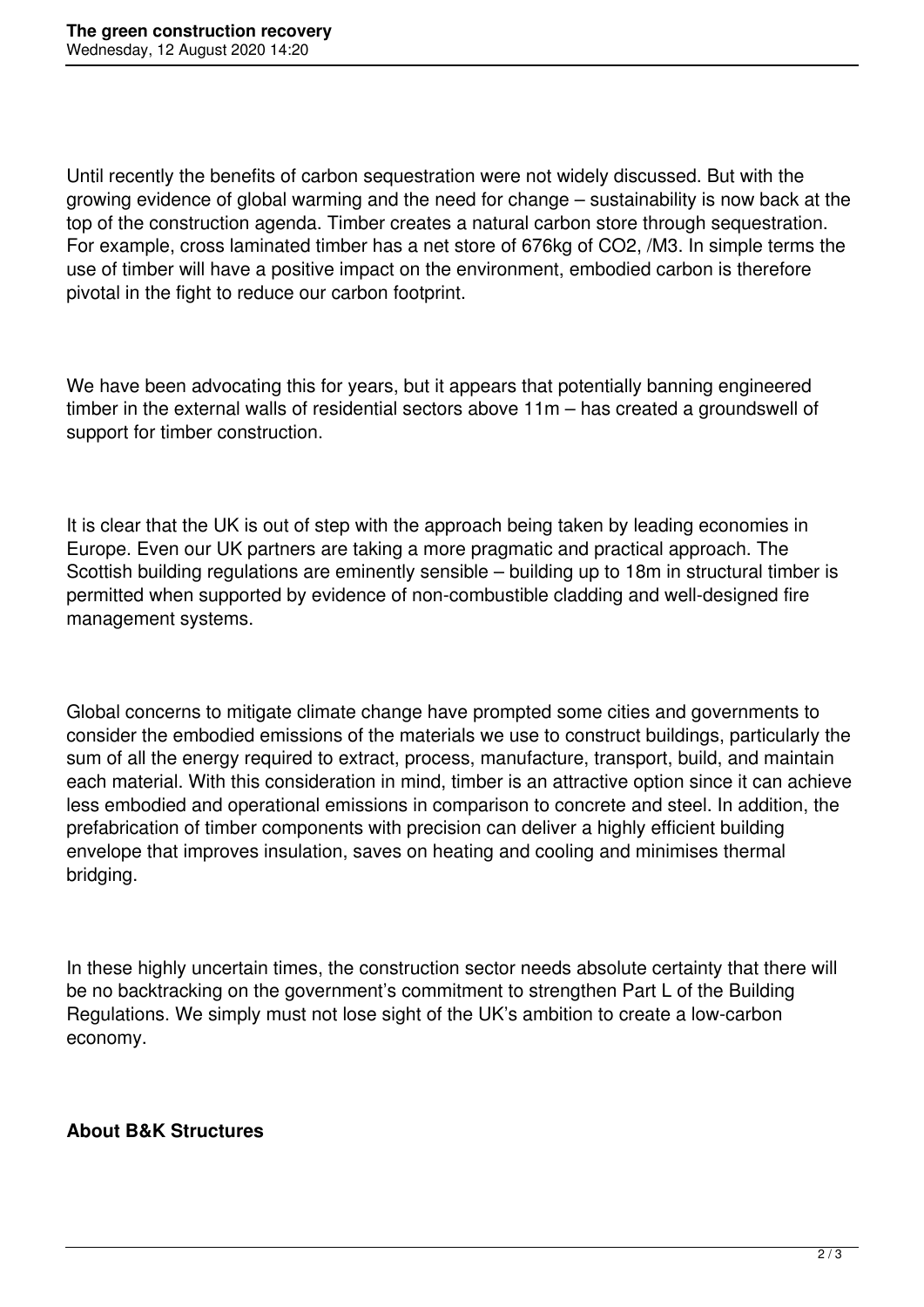Until recently the benefits of carbon sequestration were not widely discussed. But with the growing evidence of global warming and the need for change – sustainability is now back at the top of the construction agenda. Timber creates a natural carbon store through sequestration. For example, cross laminated timber has a net store of 676kg of CO2, /M3. In simple terms the use of timber will have a positive impact on the environment, embodied carbon is therefore pivotal in the fight to reduce our carbon footprint.

We have been advocating this for years, but it appears that potentially banning engineered timber in the external walls of residential sectors above 11m – has created a groundswell of support for timber construction.

It is clear that the UK is out of step with the approach being taken by leading economies in Europe. Even our UK partners are taking a more pragmatic and practical approach. The Scottish building regulations are eminently sensible – building up to 18m in structural timber is permitted when supported by evidence of non-combustible cladding and well-designed fire management systems.

Global concerns to mitigate climate change have prompted some cities and governments to consider the embodied emissions of the materials we use to construct buildings, particularly the sum of all the energy required to extract, process, manufacture, transport, build, and maintain each material. With this consideration in mind, timber is an attractive option since it can achieve less embodied and operational emissions in comparison to concrete and steel. In addition, the prefabrication of timber components with precision can deliver a highly efficient building envelope that improves insulation, saves on heating and cooling and minimises thermal bridging.

In these highly uncertain times, the construction sector needs absolute certainty that there will be no backtracking on the government's commitment to strengthen Part L of the Building Regulations. We simply must not lose sight of the UK's ambition to create a low-carbon economy.

## **About B&K Structures**